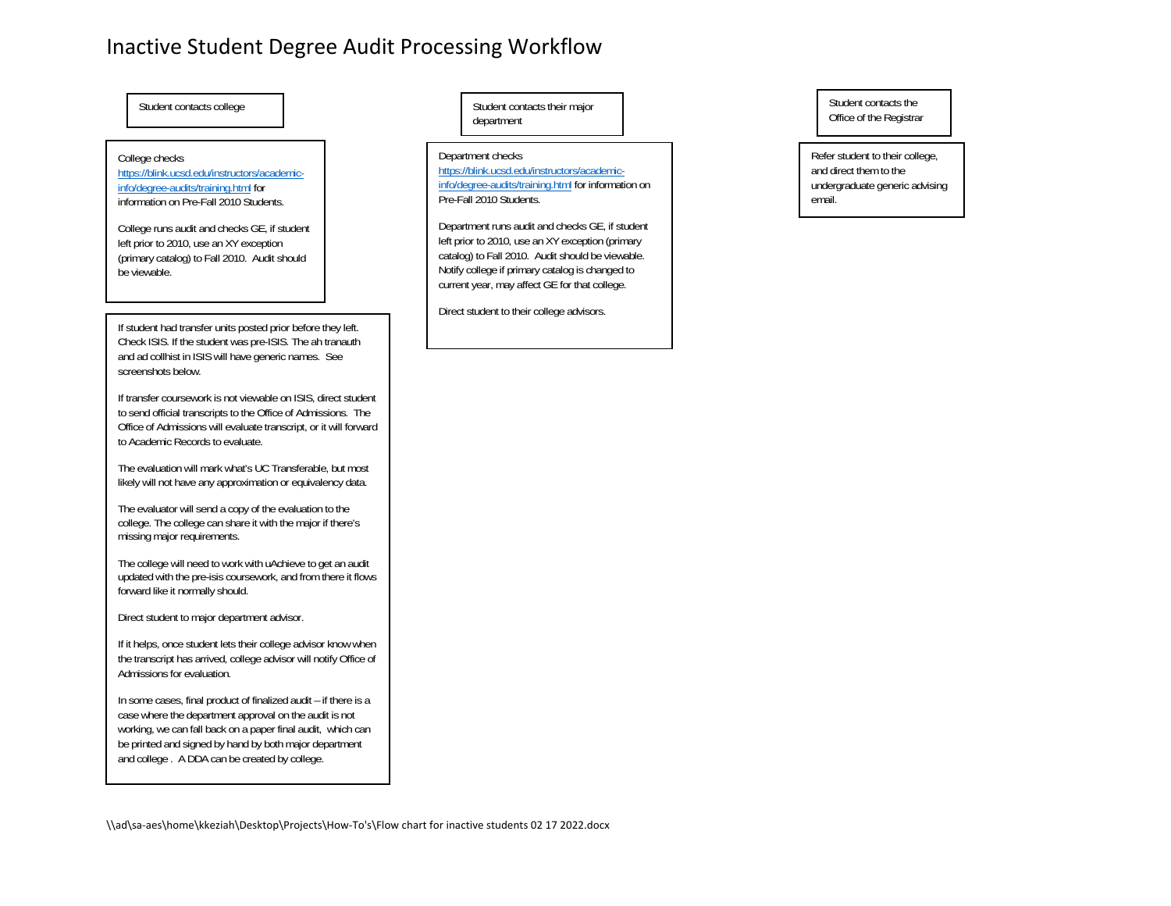### Inactive Student Degree Audit Processing Workflow

| Student contacts college                                                                                                                                                                                                                                                                                    | Student contacts their major<br>department                                                                                                                                                                                                                                                                                                                                                                                                                      |
|-------------------------------------------------------------------------------------------------------------------------------------------------------------------------------------------------------------------------------------------------------------------------------------------------------------|-----------------------------------------------------------------------------------------------------------------------------------------------------------------------------------------------------------------------------------------------------------------------------------------------------------------------------------------------------------------------------------------------------------------------------------------------------------------|
| College checks<br>https://blink.ucsd.edu/instructors/academic-<br>info/degree-audits/training.html for<br>information on Pre-Fall 2010 Students.<br>College runs audit and checks GE, if student<br>left prior to 2010, use an XY exception<br>(primary catalog) to Fall 2010. Audit should<br>be viewable. | Department checks<br>https://blink.ucsd.edu/instructors/academic-<br>info/degree-audits/training.html for information on<br>Pre-Fall 2010 Students.<br>Department runs audit and checks GE, if student<br>left prior to 2010, use an XY exception (primary<br>catalog) to Fall 2010. Audit should be viewable.<br>Notify college if primary catalog is changed to<br>current year, may affect GE for that college.<br>Direct student to their college advisors. |
| If student had transfer units posted prior before they left.<br>Check ISIS. If the student was pre-ISIS. The ah tranauth<br>and ad collhist in ISIS will have generic names. See<br>screenshots below.                                                                                                      |                                                                                                                                                                                                                                                                                                                                                                                                                                                                 |
| If transfer coursework is not viewable on ISIS, direct student<br>to send official transcripts to the Office of Admissions. The<br>Office of Admissions will evaluate transcript, or it will forward<br>to Academic Records to evaluate.                                                                    |                                                                                                                                                                                                                                                                                                                                                                                                                                                                 |
| The evaluation will mark what's UC Transferable, but most<br>likely will not have any approximation or equivalency data.                                                                                                                                                                                    |                                                                                                                                                                                                                                                                                                                                                                                                                                                                 |
| The evaluator will send a copy of the evaluation to the<br>college. The college can share it with the major if there's<br>missing major requirements.                                                                                                                                                       |                                                                                                                                                                                                                                                                                                                                                                                                                                                                 |
| The college will need to work with uAchieve to get an audit<br>updated with the pre-isis coursework, and from there it flows<br>forward like it normally should.                                                                                                                                            |                                                                                                                                                                                                                                                                                                                                                                                                                                                                 |
| Direct student to major department advisor.                                                                                                                                                                                                                                                                 |                                                                                                                                                                                                                                                                                                                                                                                                                                                                 |
| If it helps, once student lets their college advisor know when<br>the transcript has arrived, college advisor will notify Office of<br>Admissions for evaluation.                                                                                                                                           |                                                                                                                                                                                                                                                                                                                                                                                                                                                                 |
| In some cases, final product of finalized audit - if there is a<br>case where the department approval on the audit is not<br>working, we can fall back on a paper final audit, which can<br>be printed and signed by hand by both major department<br>and college. A DDA can be created by college.         |                                                                                                                                                                                                                                                                                                                                                                                                                                                                 |

Refer student to their college, and direct them to the undergraduate generic advising email.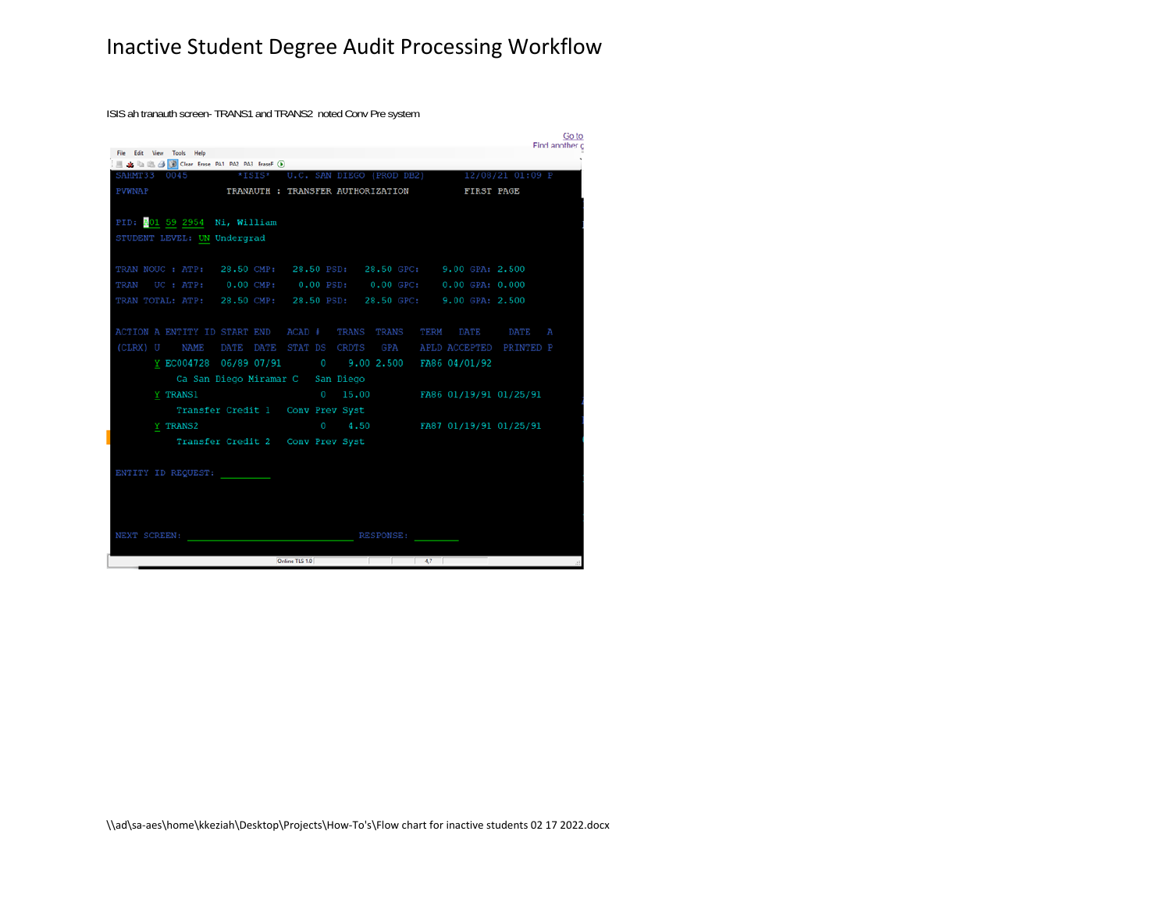# Inactive Student Degree Audit Processing Workflow

ISIS ah tranauth screen- TRANS1 and TRANS2 noted Conv Pre system

|                                                                   |                                                      | GO to<br>Find another |
|-------------------------------------------------------------------|------------------------------------------------------|-----------------------|
| File Edit View Tools Help                                         |                                                      |                       |
| ■ ▲ ■ ■ ● ■ Clear Erase PA1 PA2 PA3 EraseF (D)                    |                                                      |                       |
| SAHMT33 0045 *ISIS* U.C. SAN DIEGO (PROD DB2) 12/08/21 01:09 P    |                                                      |                       |
| PVWNAP <b>TRANAUTH: TRANSFER AUTHORIZATION</b> FIRST PAGE         |                                                      |                       |
|                                                                   |                                                      |                       |
| PID: 201 59 2954 Ni, William                                      |                                                      |                       |
| STUDENT LEVEL: UN Undergrad                                       |                                                      |                       |
|                                                                   |                                                      |                       |
| TRAN NOUC: ATP: 28.50 CMP: 28.50 PSD: 28.50 GPC: 9.00 GPA: 2.500  |                                                      |                       |
| TRAN UC: ATP: 0.00 CMP: 0.00 PSD: 0.00 GPC: 0.00 GPA: 0.000       |                                                      |                       |
| TRAN TOTAL: ATP: 28.50 CMP: 28.50 PSD: 28.50 GPC: 9.00 GPA: 2.500 |                                                      |                       |
|                                                                   |                                                      |                       |
| ACTION A ENTITY ID START END ACAD # TRANS TRANS TERM DATE DATE    |                                                      | Α                     |
|                                                                   |                                                      |                       |
| (CLRX) U NAME DATE DATE STAT DS CRDTS GPA APLD ACCEPTED PRINTED P |                                                      |                       |
|                                                                   | Y EC004728 06/89 07/91 0 9.00 2.500 FA86 04/01/92    |                       |
| Ca San Diego Miramar C San Diego                                  |                                                      |                       |
| <b>Y TRANS1</b>                                                   | $0 \t 15.00$ FA86 01/19/91 01/25/91                  |                       |
| Transfer Credit 1 Conv Prev Syst                                  |                                                      |                       |
| <b>Y TRANS2</b>                                                   | $0 \qquad 4.50 \qquad \qquad$ FA87 01/19/91 01/25/91 |                       |
| Transfer Credit 2 Conv Prev Syst                                  |                                                      |                       |
|                                                                   |                                                      |                       |
| ENTITY ID REQUEST:                                                |                                                      |                       |
|                                                                   |                                                      |                       |
|                                                                   |                                                      |                       |
|                                                                   |                                                      |                       |
|                                                                   |                                                      |                       |
| NEXT SCREEN:                                                      | RESPONSE:                                            |                       |
|                                                                   | Online TLS 1.0                                       |                       |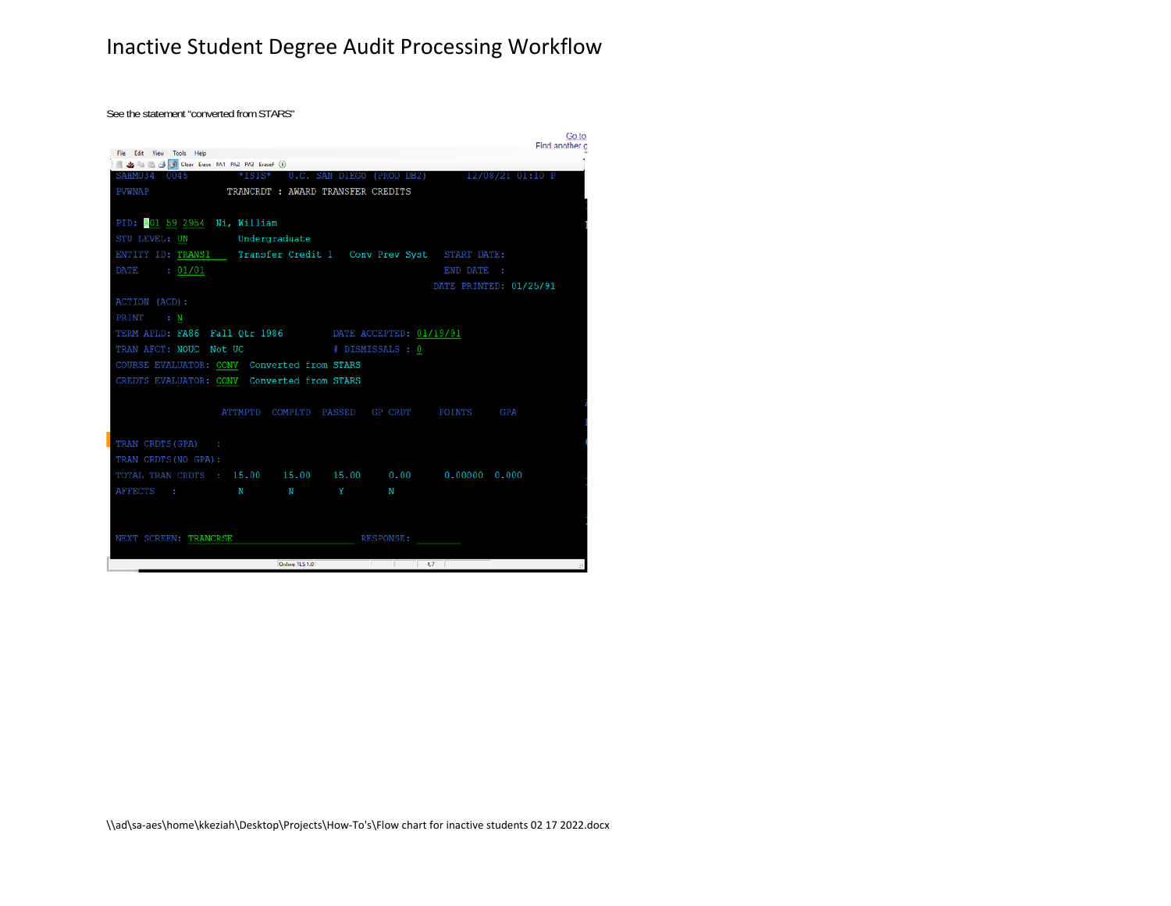## Inactive Student Degree Audit Processing Workflow

See the statement "converted from STARS"

|                                                                      |                |                                   |                  |                                           | Go to<br>Find another c |
|----------------------------------------------------------------------|----------------|-----------------------------------|------------------|-------------------------------------------|-------------------------|
| File Edit View Tools Help                                            |                |                                   |                  |                                           |                         |
| ■ ▲ ■ ■ → B → D Clear Erase PA1 PA2 PA3 EraseF (b)                   |                |                                   |                  |                                           |                         |
| SAHMU34 0045 *ISIS* U.C. SAN DIEGO (PROD DB2) 12/08/21 01:10 P       |                |                                   |                  |                                           |                         |
| PVWNAP                                                               |                | TRANCRDT : AWARD TRANSFER CREDITS |                  |                                           |                         |
|                                                                      |                |                                   |                  |                                           |                         |
| PID: 001 59 2954 Ni, William                                         |                |                                   |                  |                                           |                         |
| STU LEVEL: UN Undergraduate                                          |                |                                   |                  |                                           |                         |
| ENTITY ID: TRANS1   Transfer Credit 1   Conv Prev Syst   START DATE: |                |                                   |                  |                                           |                         |
| DATE : 01/01                                                         |                |                                   |                  | END DATE :                                |                         |
|                                                                      |                |                                   |                  |                                           | DATE PRINTED: 01/25/91  |
| ACTION (ACD):                                                        |                |                                   |                  |                                           |                         |
| PRINT : N                                                            |                |                                   |                  |                                           |                         |
| TERM APLD: FA86 Fall Qtr 1986 DATE ACCEPTED: 01/19/91                |                |                                   |                  |                                           |                         |
| TRAN AFCT: NOUC Not UC                                               |                | # DISMISSALS : 0                  |                  |                                           |                         |
| COURSE EVALUATOR: CONV Converted from STARS                          |                |                                   |                  |                                           |                         |
| CREDTS EVALUATOR: CONV Converted from STARS                          |                |                                   |                  |                                           |                         |
|                                                                      |                |                                   |                  |                                           |                         |
|                                                                      |                |                                   |                  | ATTMPTD COMPLTD PASSED GP CRDT POINTS GPA |                         |
|                                                                      |                |                                   |                  |                                           |                         |
| TRAN CRDTS (GPA) :                                                   |                |                                   |                  |                                           |                         |
| TRAN CRDTS (NO GPA) :                                                |                |                                   |                  |                                           |                         |
| TOTAL TRAN CRDTS : 15.00  15.00  15.00  0.00  0.00000  0.000         |                |                                   |                  |                                           |                         |
| AFFECTS : N N N                                                      |                | <b>Experience State</b>           | N                |                                           |                         |
|                                                                      |                |                                   |                  |                                           |                         |
|                                                                      |                |                                   |                  |                                           |                         |
| NEXT SCREEN: TRANCRSE                                                |                |                                   | <b>RESPONSE:</b> |                                           |                         |
|                                                                      |                |                                   |                  |                                           |                         |
|                                                                      | Online TLS 1.0 |                                   | 47               |                                           |                         |

\\ad\sa‐aes\home\kkeziah\Desktop\Projects\How‐To's\Flow chart for inactive students 02 17 2022.docx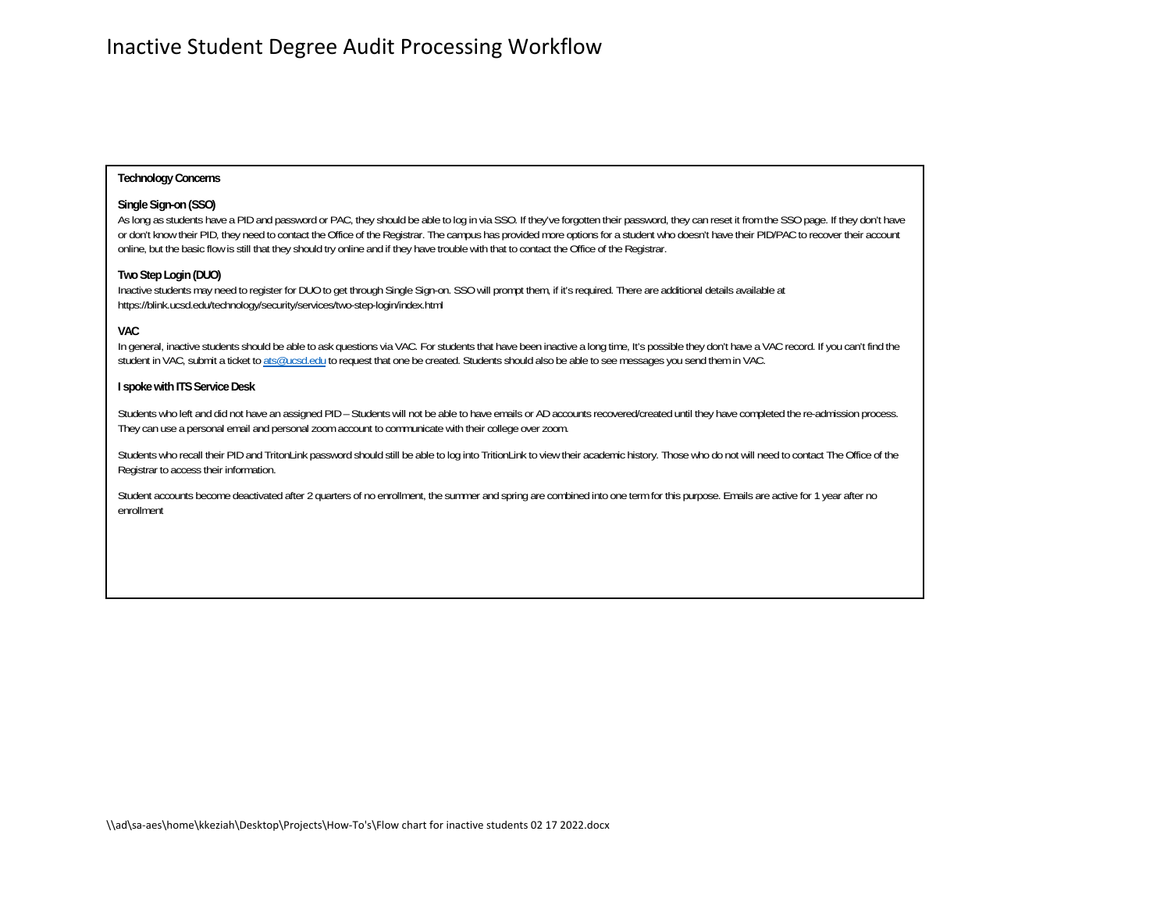#### **Technology Concerns**

#### **Single Sign-on (SSO)**

As long as students have a PID and password or PAC, they should be able to log in via SSO. If they've forgotten their password, they can reset it from the SSO page. If they don't have or don't know their PID, they need to contact the Office of the Registrar. The campus has provided more options for a student who doesn't have their PID/PAC to recover their account online, but the basic flow is still that they should try online and if they have trouble with that to contact the Office of the Registrar.

#### **Two Step Login (DUO)**

Inactive students may need to register for DUO to get through Single Sign-on. SSO will prompt them, if it's required. There are additional details available at https://blink.ucsd.edu/technology/security/services/two-step-login/index.html

#### **VAC**

In general, inactive students should be able to ask questions via VAC. For students that have been inactive a long time, It's possible they don't have a VAC record. If you can't find the student in VAC, submit a ticket to ats@ucsd.edu to request that one be created. Students should also be able to see messages you send them in VAC.

#### **I spoke with ITS Service Desk**

Students who left and did not have an assigned PID – Students will not be able to have emails or AD accounts recovered/created until they have completed the re-admission process. They can use a personal email and personal zoom account to communicate with their college over zoom.

Students who recall their PID and TritonLink password should still be able to log into TritionLink to view their academic history. Those who do not will need to contact The Office of the Registrar to access their information.

Student accounts become deactivated after 2 quarters of no enrollment, the summer and spring are combined into one term for this purpose. Emails are active for 1 year after no enrollment